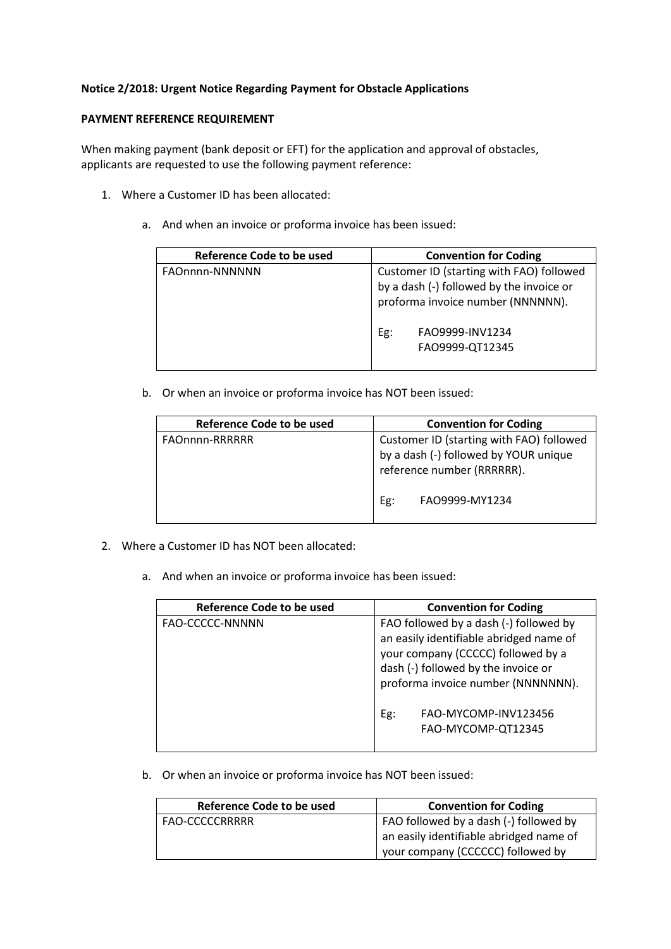## **Notice 2/2018: Urgent Notice Regarding Payment for Obstacle Applications**

## **PAYMENT REFERENCE REQUIREMENT**

When making payment (bank deposit or EFT) for the application and approval of obstacles, applicants are requested to use the following payment reference:

- 1. Where a Customer ID has been allocated:
	- a. And when an invoice or proforma invoice has been issued:

| <b>Reference Code to be used</b> | <b>Convention for Coding</b>                                                                                                                                           |  |  |
|----------------------------------|------------------------------------------------------------------------------------------------------------------------------------------------------------------------|--|--|
| FAOnnnn-NNNNNN                   | Customer ID (starting with FAO) followed<br>by a dash (-) followed by the invoice or<br>proforma invoice number (NNNNNN).<br>FAO9999-INV1234<br>Eg:<br>FAO9999-QT12345 |  |  |

b. Or when an invoice or proforma invoice has NOT been issued:

| <b>Reference Code to be used</b> | <b>Convention for Coding</b>                                                                                                             |  |
|----------------------------------|------------------------------------------------------------------------------------------------------------------------------------------|--|
| FAOnnnn-RRRRRR                   | Customer ID (starting with FAO) followed<br>by a dash (-) followed by YOUR unique<br>reference number (RRRRRR).<br>FAO9999-MY1234<br>Eg: |  |

- 2. Where a Customer ID has NOT been allocated:
	- a. And when an invoice or proforma invoice has been issued:

| Reference Code to be used | <b>Convention for Coding</b>                                                                                                                                                                         |  |
|---------------------------|------------------------------------------------------------------------------------------------------------------------------------------------------------------------------------------------------|--|
| FAO-CCCCC-NNNNN           | FAO followed by a dash (-) followed by<br>an easily identifiable abridged name of<br>your company (CCCCC) followed by a<br>dash (-) followed by the invoice or<br>proforma invoice number (NNNNNNN). |  |
|                           | FAO-MYCOMP-INV123456<br>Eg:<br>FAO-MYCOMP-QT12345                                                                                                                                                    |  |

b. Or when an invoice or proforma invoice has NOT been issued:

| Reference Code to be used | <b>Convention for Coding</b>            |  |
|---------------------------|-----------------------------------------|--|
| FAO-CCCCCRRRRR            | FAO followed by a dash (-) followed by  |  |
|                           | an easily identifiable abridged name of |  |
|                           | your company (CCCCCC) followed by       |  |